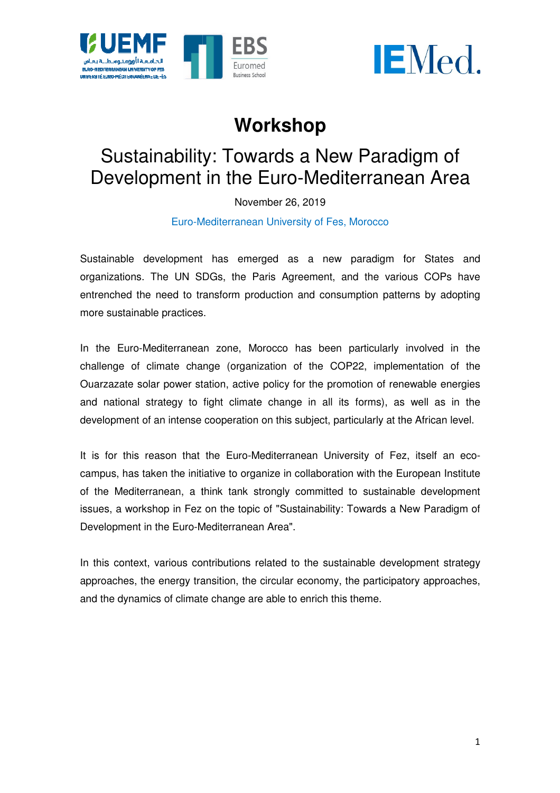



# **Workshop**

# Sustainability Sustainability: Towards a New Paradigm of Development in the Euro-Mediterranean Area

November 26, 2019

Euro-M Mediterranean University of Fes, Morocco

Sustainable development has emerged as a new paradigm for States and organizations. The UN SDGs, the Paris Agreement, and the various COPs have entrenched the need to transform production and consumption patterns by adopting more sustainable practices.

In the Euro-Mediterranean zone Mediterranean zone, Morocco has been particularly involved in the challenge of climate change (organization of the COP22, implementation of the Ouarzazate solar power station, active policy for the promotion of renewable energies and national strategy to fight climate change in all its forms), as well as in the development of an intense cooperation on this subject, particularly at the African level. , Morocco has been particularly involved in the ganization of the COP22, implementation of the ctive policy for the promotion of renewable energies mate change in all its forms), as well as in the ation on this subject, pa

It is for this reason that the Euro-Mediterranean University of Fez, itself an eco campus, has taken the initiative to organize in collaboration with the European Institute of the Mediterranean, a think tank strongly committed to sustainable development issues, a workshop in Fez on the topic of "Sustainability: Towards a New Paradigm of Development in the Euro-Mediterranean Area".

In this context, various contributions related to the sustainable development strategy approaches, the energy transition, the circular economy, the participatory approaches, and the dynamics of climate change are able to enrich this theme.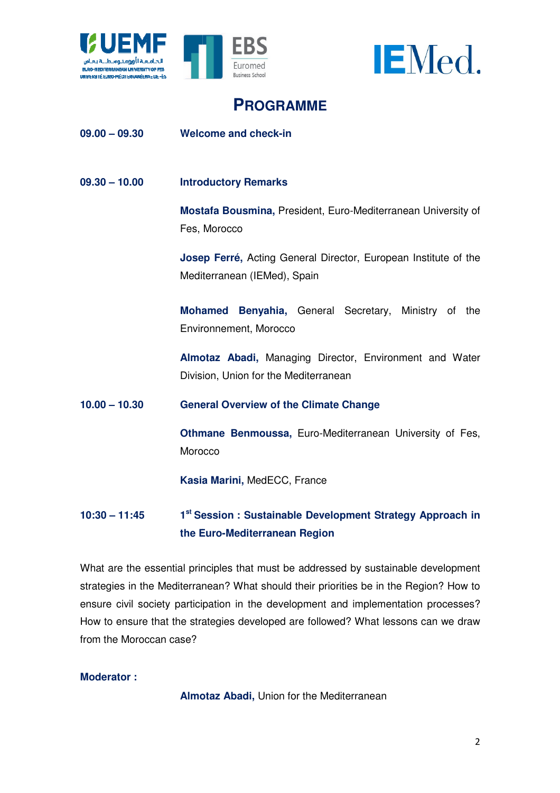



# **PROGRAMME**

#### $09.00 - 09.30$ **Welcome and check-in**

# **09.30 – 10.00 Introductory Remarks**

**Mostafa Bousmina,**  President, Euro-Mediterranean University of Fes, Morocco

Fes, Morocco<br>**Josep Ferré,** Acting General Director, European Institute of the Mediterranean Mediterranean (IEMed), Spain , Euro-Mediterranean<br>Director, European Ins<br>ral Secretary, Minis<br>Pirector, Environment<br>anean<br>**ate Change**<br>Mediterranean Univer

**Mohamed Benyahia,** General Secretary, Ministry of the Environnement, M Morocco

**Almotaz Abadi Abadi,** Managing Director, Environment and Water Division Division, Union for the Mediterranean

### **10.00 – 10.30 General Overview of the Climate Ch Change**

**Othmane Benmoussa,**  Euro-Mediterranean University of Fes, **Morocco** 

**Kasia Marini,**  MedECC, France

#### **10:30 – 11:45 the Euro Euro-Mediterranean Region**  1<sup>st</sup> Session : Sustainable Development Strategy Approach in

What are the essential principles that must be addressed by sustainable development strategies in the Mediterranean? What should their priorities be in the Region? How to ensure civil society participation in the development and implementation processes? How to ensure that the strategies developed are followed? What lessons can we draw from the Moroccan case?

### **Moderator :**

**Almotaz Abadi Abadi,** Union for the Mediterranean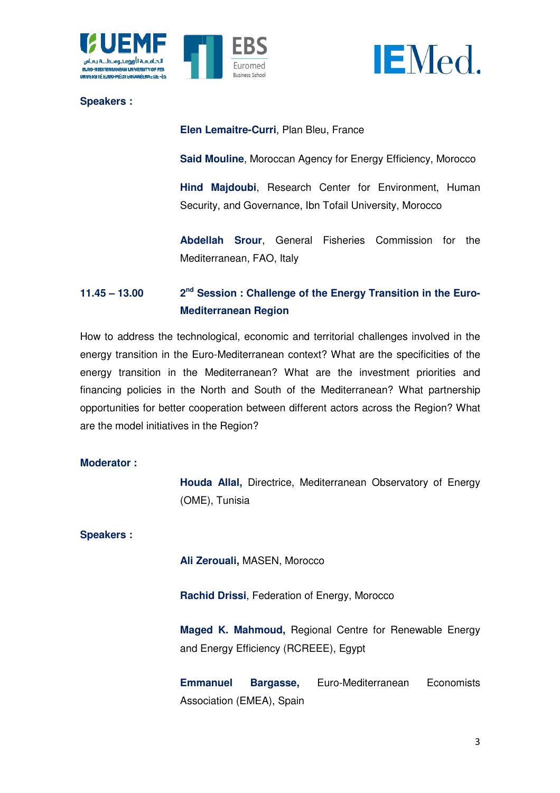



**Speakers :**

**Elen Lemaitre Lemaitre-Curri**, Plan Bleu, France

**Said Mouline** , Moroccan Agency for Energy Efficiency Efficiency, Morocco

Hind Majdoubi, Research Center for Environment, Human Security, and Governance, Ibn Tofail University, Morocco ,

**Abdellah Srour** , General Fisheries Commission for the Mediter Mediterranean, FAO, Italy

#### **11.45 – 13.00 Mediterranean Region Session : Challenge of the Energy Transition in the Euro-**

How to address the technological, economic and territorial challenges involved in the energy transition in the Euro-Mediterranean context? What are the specificities of the energy transition in the Mediterranean? What are the investment priorities and financing policies in the North and South of the Mediterranean? What partnership opportunities for better cooperation between different actors across the R are the model initiatives in the Region? Mediterranean context? What are the specificities of the<br>diterranean? What are the investment priorities and<br>th and South of the Mediterranean? What partnership<br>ration between different actors across the Region? What

## **Moderator :**

**Houda Allal,**  Directrice, Mediterranean Observatory of Energy (OME) (OME), Tunisia

# **Speakers :**

**Ali Zerouali Zerouali,** MASEN, Morocco

**Rachid Drissi** , Federation of Energy, Morocco

**Maged K. Mahmoud,**  Regional Centre for Renewable Energy and Energy Efficiency Efficiency (RCREEE), Egypt

**Emmanuel**  Association (EMEA) (EMEA), Spain Bargasse, Euro-Mediterranean Economists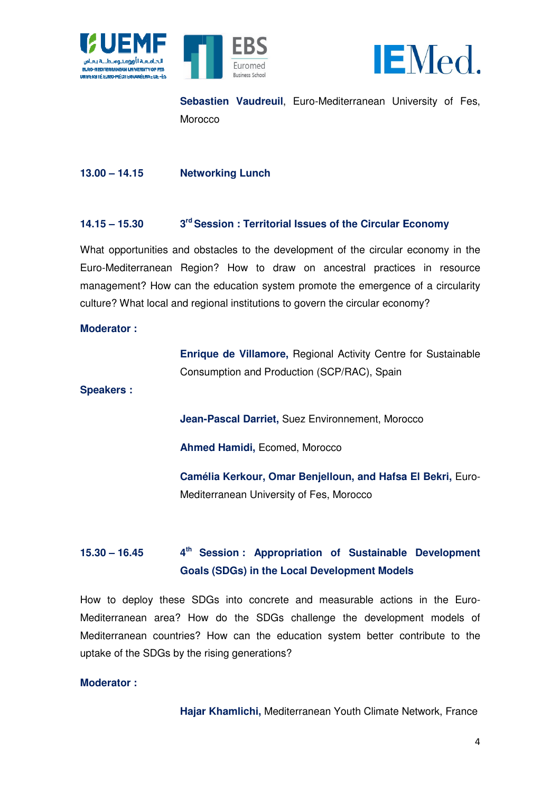





**Sebastien Vaudreuil** , Euro-Mediterranean University of Fes, Morocco

 $13.00 - 14.15$ **Networking Lunch** 

#### **14.15 – 15.30**  $3<sup>rd</sup>$  Session : Territorial Issues of the Circular Economy

What opportunities and obstacles to the development of the circular economy in the Euro-Mediterranean Region? How to draw on ancestral practices in resource Mediterranean management? How can the education system promote the emergence of a circularity culture? What local and regional institutions to govern the circular economy? Mediterranean Univers<br> **es of the Circular Ecol**<br>
ent of the circular eco<br>
ancestral practices<br>
note the emergence of<br>
orn the circular economy<br>
onal Activity Centre for<br>
(SCP/RAC), Spain<br>
nvironnement, Morocco

### **Moderator :**

**Enrique de Villamore, Regional Activity Centre for Sustainable** Consumption and Production Production (SCP/RAC), Spain

**Speakers :** 

**Jean Jean-Pascal Darriet,** Suez Environnement, Morocco

**Ahmed Hamidi,**  Ecomed, Morocco

**Cam élia Kerkour, Omar Benjelloun, and Hafsa a El Bekri,** Euro-Mediterranean University of Fes, Morocco

#### $15.30 - 16.45$ **Goals (SDGs) in the Local Development Models Session : Appropriation of Sustainable Development**

How to deploy these SDGs into concrete and measurable actions in the Euro Euro-Mediterranean area? How do the SDGs challenge the development models of Mediterranean countries? How can the education system better contribute to the uptake of the SDGs by the rising generations?

## **Moderator :**

Hajar Khamlichi, Mediterranean Youth Climate Network, France